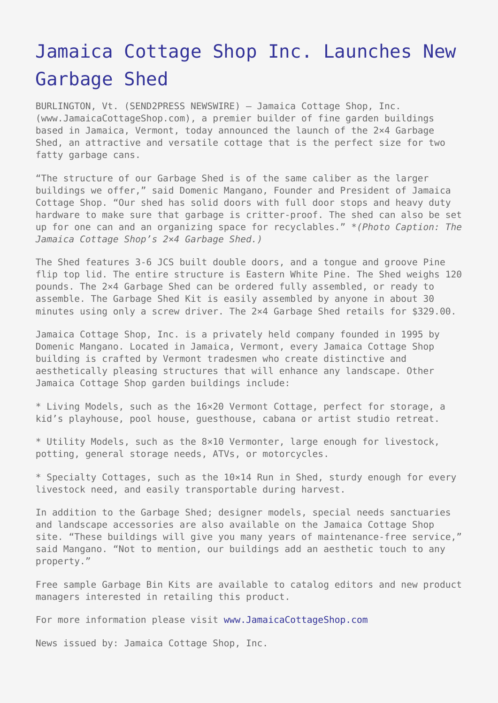## [Jamaica Cottage Shop Inc. Launches New](https://www.send2press.com/wire/2005-12-1205-001/) [Garbage Shed](https://www.send2press.com/wire/2005-12-1205-001/)

BURLINGTON, Vt. (SEND2PRESS NEWSWIRE) — Jamaica Cottage Shop, Inc. (www.JamaicaCottageShop.com), a premier builder of fine garden buildings based in Jamaica, Vermont, today announced the launch of the 2×4 Garbage Shed, an attractive and versatile cottage that is the perfect size for two fatty garbage cans.

"The structure of our Garbage Shed is of the same caliber as the larger buildings we offer," said Domenic Mangano, Founder and President of Jamaica Cottage Shop. "Our shed has solid doors with full door stops and heavy duty hardware to make sure that garbage is critter-proof. The shed can also be set up for one can and an organizing space for recyclables." *\*(Photo Caption: The Jamaica Cottage Shop's 2×4 Garbage Shed.)*

The Shed features 3-6 JCS built double doors, and a tongue and groove Pine flip top lid. The entire structure is Eastern White Pine. The Shed weighs 120 pounds. The 2×4 Garbage Shed can be ordered fully assembled, or ready to assemble. The Garbage Shed Kit is easily assembled by anyone in about 30 minutes using only a screw driver. The 2×4 Garbage Shed retails for \$329.00.

Jamaica Cottage Shop, Inc. is a privately held company founded in 1995 by Domenic Mangano. Located in Jamaica, Vermont, every Jamaica Cottage Shop building is crafted by Vermont tradesmen who create distinctive and aesthetically pleasing structures that will enhance any landscape. Other Jamaica Cottage Shop garden buildings include:

\* Living Models, such as the 16×20 Vermont Cottage, perfect for storage, a kid's playhouse, pool house, guesthouse, cabana or artist studio retreat.

\* Utility Models, such as the 8×10 Vermonter, large enough for livestock, potting, general storage needs, ATVs, or motorcycles.

\* Specialty Cottages, such as the 10×14 Run in Shed, sturdy enough for every livestock need, and easily transportable during harvest.

In addition to the Garbage Shed; designer models, special needs sanctuaries and landscape accessories are also available on the Jamaica Cottage Shop site. "These buildings will give you many years of maintenance-free service," said Mangano. "Not to mention, our buildings add an aesthetic touch to any property."

Free sample Garbage Bin Kits are available to catalog editors and new product managers interested in retailing this product.

For more information please visit [www.JamaicaCottageShop.com](http://www.JamaicaCottageShop.com)

News issued by: Jamaica Cottage Shop, Inc.